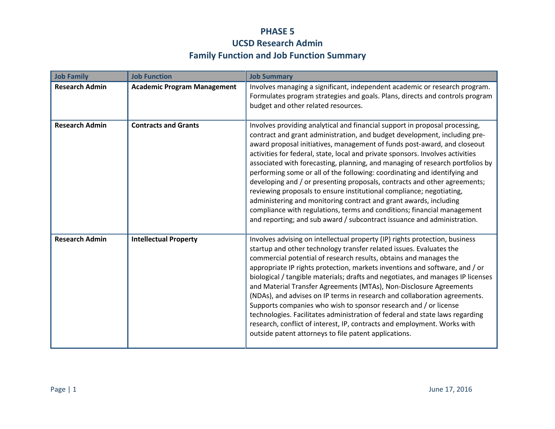## **PHASE 5 UCSD Research Admin Family Function and Job Function Summary**

| <b>Job Family</b>     | <b>Job Function</b>                | <b>Job Summary</b>                                                                                                                                                                                                                                                                                                                                                                                                                                                                                                                                                                                                                                                                                                                                                                                                                                                   |
|-----------------------|------------------------------------|----------------------------------------------------------------------------------------------------------------------------------------------------------------------------------------------------------------------------------------------------------------------------------------------------------------------------------------------------------------------------------------------------------------------------------------------------------------------------------------------------------------------------------------------------------------------------------------------------------------------------------------------------------------------------------------------------------------------------------------------------------------------------------------------------------------------------------------------------------------------|
| <b>Research Admin</b> | <b>Academic Program Management</b> | Involves managing a significant, independent academic or research program.<br>Formulates program strategies and goals. Plans, directs and controls program<br>budget and other related resources.                                                                                                                                                                                                                                                                                                                                                                                                                                                                                                                                                                                                                                                                    |
| <b>Research Admin</b> | <b>Contracts and Grants</b>        | Involves providing analytical and financial support in proposal processing,<br>contract and grant administration, and budget development, including pre-<br>award proposal initiatives, management of funds post-award, and closeout<br>activities for federal, state, local and private sponsors. Involves activities<br>associated with forecasting, planning, and managing of research portfolios by<br>performing some or all of the following: coordinating and identifying and<br>developing and / or presenting proposals, contracts and other agreements;<br>reviewing proposals to ensure institutional compliance; negotiating,<br>administering and monitoring contract and grant awards, including<br>compliance with regulations, terms and conditions; financial management<br>and reporting; and sub award / subcontract issuance and administration. |
| <b>Research Admin</b> | <b>Intellectual Property</b>       | Involves advising on intellectual property (IP) rights protection, business<br>startup and other technology transfer related issues. Evaluates the<br>commercial potential of research results, obtains and manages the<br>appropriate IP rights protection, markets inventions and software, and / or<br>biological / tangible materials; drafts and negotiates, and manages IP licenses<br>and Material Transfer Agreements (MTAs), Non-Disclosure Agreements<br>(NDAs), and advises on IP terms in research and collaboration agreements.<br>Supports companies who wish to sponsor research and / or license<br>technologies. Facilitates administration of federal and state laws regarding<br>research, conflict of interest, IP, contracts and employment. Works with<br>outside patent attorneys to file patent applications.                                |